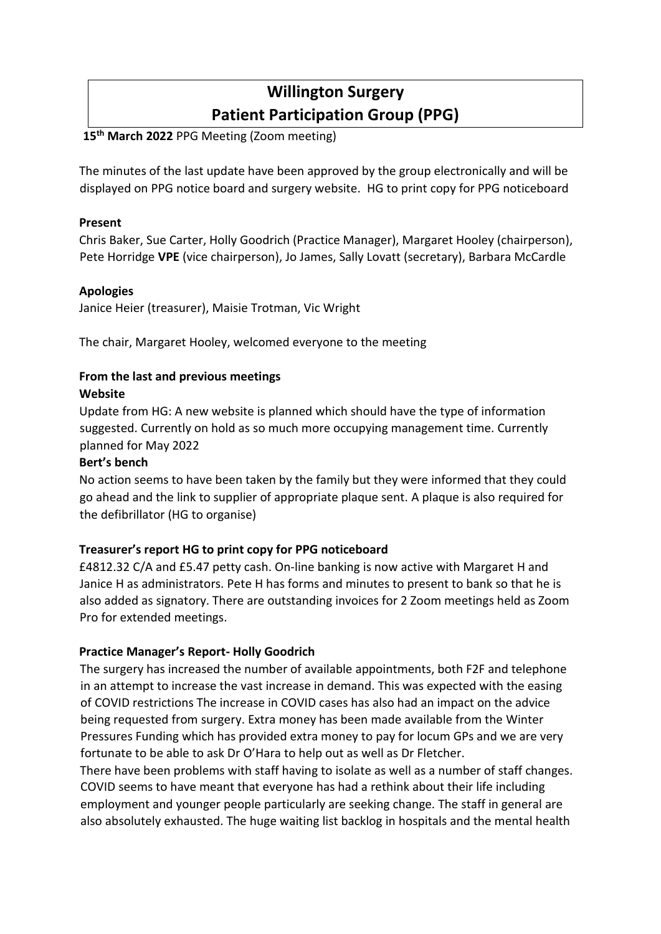# **Willington Surgery Patient Participation Group (PPG)**

# **15th March 2022** PPG Meeting (Zoom meeting)

The minutes of the last update have been approved by the group electronically and will be displayed on PPG notice board and surgery website. HG to print copy for PPG noticeboard

## **Present**

Chris Baker, Sue Carter, Holly Goodrich (Practice Manager), Margaret Hooley (chairperson), Pete Horridge **VPE** (vice chairperson), Jo James, Sally Lovatt (secretary), Barbara McCardle

## **Apologies**

Janice Heier (treasurer), Maisie Trotman, Vic Wright

The chair, Margaret Hooley, welcomed everyone to the meeting

# **From the last and previous meetings**

#### **Website**

Update from HG: A new website is planned which should have the type of information suggested. Currently on hold as so much more occupying management time. Currently planned for May 2022

#### **Bert's bench**

No action seems to have been taken by the family but they were informed that they could go ahead and the link to supplier of appropriate plaque sent. A plaque is also required for the defibrillator (HG to organise)

## **Treasurer's report HG to print copy for PPG noticeboard**

£4812.32 C/A and £5.47 petty cash. On-line banking is now active with Margaret H and Janice H as administrators. Pete H has forms and minutes to present to bank so that he is also added as signatory. There are outstanding invoices for 2 Zoom meetings held as Zoom Pro for extended meetings.

## **Practice Manager's Report- Holly Goodrich**

The surgery has increased the number of available appointments, both F2F and telephone in an attempt to increase the vast increase in demand. This was expected with the easing of COVID restrictions The increase in COVID cases has also had an impact on the advice being requested from surgery. Extra money has been made available from the Winter Pressures Funding which has provided extra money to pay for locum GPs and we are very fortunate to be able to ask Dr O'Hara to help out as well as Dr Fletcher.

There have been problems with staff having to isolate as well as a number of staff changes. COVID seems to have meant that everyone has had a rethink about their life including employment and younger people particularly are seeking change. The staff in general are also absolutely exhausted. The huge waiting list backlog in hospitals and the mental health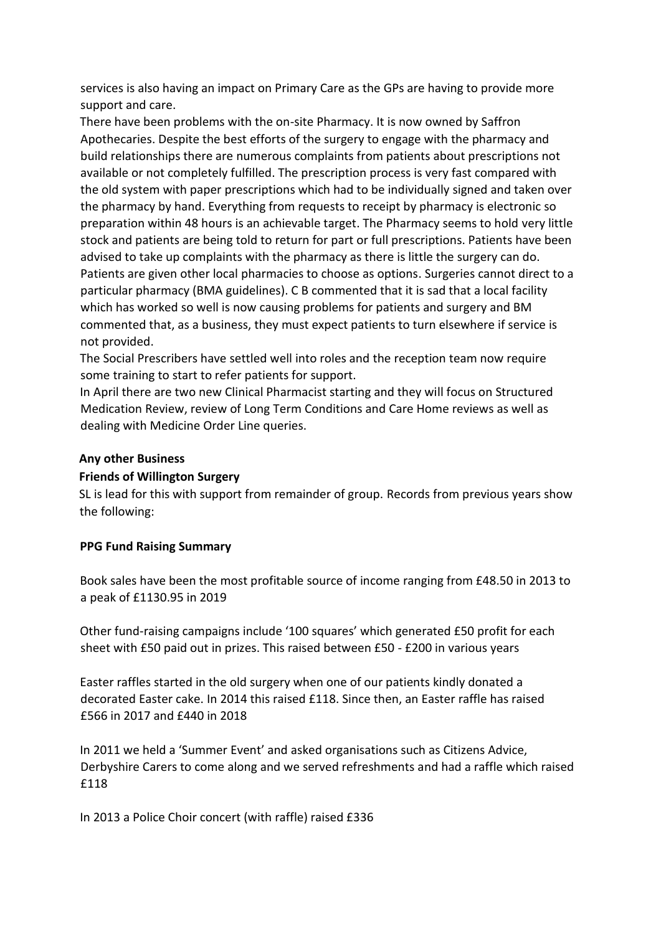services is also having an impact on Primary Care as the GPs are having to provide more support and care.

There have been problems with the on-site Pharmacy. It is now owned by Saffron Apothecaries. Despite the best efforts of the surgery to engage with the pharmacy and build relationships there are numerous complaints from patients about prescriptions not available or not completely fulfilled. The prescription process is very fast compared with the old system with paper prescriptions which had to be individually signed and taken over the pharmacy by hand. Everything from requests to receipt by pharmacy is electronic so preparation within 48 hours is an achievable target. The Pharmacy seems to hold very little stock and patients are being told to return for part or full prescriptions. Patients have been advised to take up complaints with the pharmacy as there is little the surgery can do. Patients are given other local pharmacies to choose as options. Surgeries cannot direct to a particular pharmacy (BMA guidelines). C B commented that it is sad that a local facility which has worked so well is now causing problems for patients and surgery and BM commented that, as a business, they must expect patients to turn elsewhere if service is not provided.

The Social Prescribers have settled well into roles and the reception team now require some training to start to refer patients for support.

In April there are two new Clinical Pharmacist starting and they will focus on Structured Medication Review, review of Long Term Conditions and Care Home reviews as well as dealing with Medicine Order Line queries.

#### **Any other Business**

## **Friends of Willington Surgery**

SL is lead for this with support from remainder of group. Records from previous years show the following:

#### **PPG Fund Raising Summary**

Book sales have been the most profitable source of income ranging from £48.50 in 2013 to a peak of £1130.95 in 2019

Other fund-raising campaigns include '100 squares' which generated £50 profit for each sheet with £50 paid out in prizes. This raised between £50 - £200 in various years

Easter raffles started in the old surgery when one of our patients kindly donated a decorated Easter cake. In 2014 this raised £118. Since then, an Easter raffle has raised £566 in 2017 and £440 in 2018

In 2011 we held a 'Summer Event' and asked organisations such as Citizens Advice, Derbyshire Carers to come along and we served refreshments and had a raffle which raised £118

In 2013 a Police Choir concert (with raffle) raised £336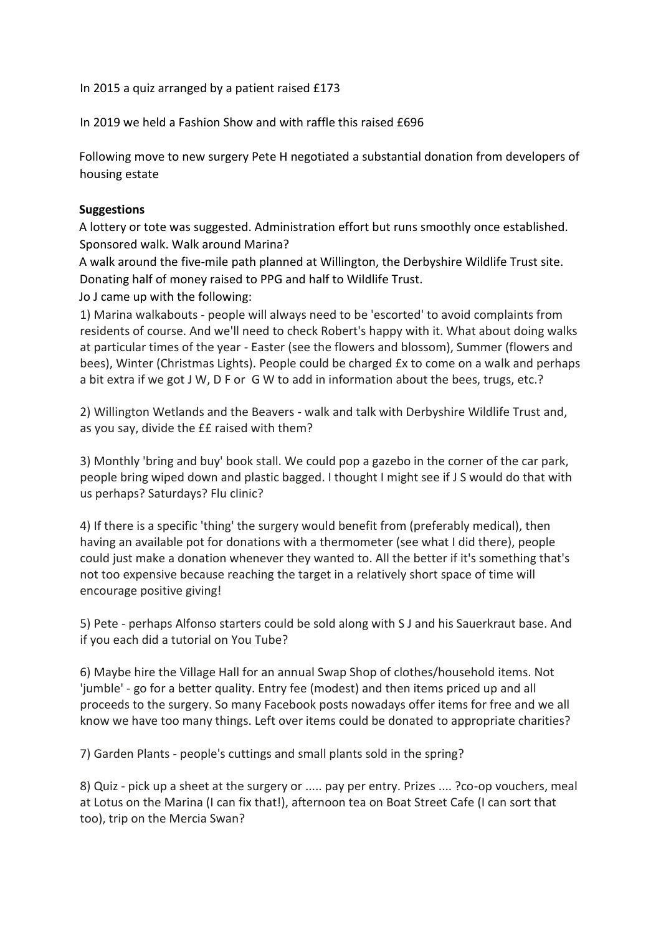In 2015 a quiz arranged by a patient raised £173

In 2019 we held a Fashion Show and with raffle this raised £696

Following move to new surgery Pete H negotiated a substantial donation from developers of housing estate

#### **Suggestions**

A lottery or tote was suggested. Administration effort but runs smoothly once established. Sponsored walk. Walk around Marina?

A walk around the five-mile path planned at Willington, the Derbyshire Wildlife Trust site. Donating half of money raised to PPG and half to Wildlife Trust.

Jo J came up with the following:

1) Marina walkabouts - people will always need to be 'escorted' to avoid complaints from residents of course. And we'll need to check Robert's happy with it. What about doing walks at particular times of the year - Easter (see the flowers and blossom), Summer (flowers and bees), Winter (Christmas Lights). People could be charged £x to come on a walk and perhaps a bit extra if we got J W, D F or G W to add in information about the bees, trugs, etc.?

2) Willington Wetlands and the Beavers - walk and talk with Derbyshire Wildlife Trust and, as you say, divide the ££ raised with them?

3) Monthly 'bring and buy' book stall. We could pop a gazebo in the corner of the car park, people bring wiped down and plastic bagged. I thought I might see if J S would do that with us perhaps? Saturdays? Flu clinic?

4) If there is a specific 'thing' the surgery would benefit from (preferably medical), then having an available pot for donations with a thermometer (see what I did there), people could just make a donation whenever they wanted to. All the better if it's something that's not too expensive because reaching the target in a relatively short space of time will encourage positive giving!

5) Pete - perhaps Alfonso starters could be sold along with S J and his Sauerkraut base. And if you each did a tutorial on You Tube?

6) Maybe hire the Village Hall for an annual Swap Shop of clothes/household items. Not 'jumble' - go for a better quality. Entry fee (modest) and then items priced up and all proceeds to the surgery. So many Facebook posts nowadays offer items for free and we all know we have too many things. Left over items could be donated to appropriate charities?

7) Garden Plants - people's cuttings and small plants sold in the spring?

8) Quiz - pick up a sheet at the surgery or ..... pay per entry. Prizes .... ?co-op vouchers, meal at Lotus on the Marina (I can fix that!), afternoon tea on Boat Street Cafe (I can sort that too), trip on the Mercia Swan?